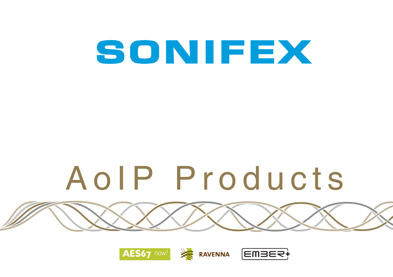# SONIFEX

# AoIP Products

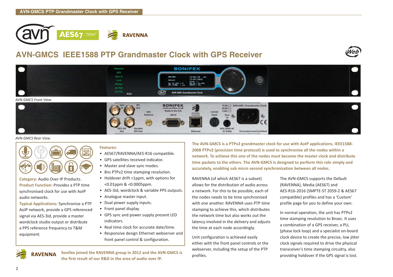

# **AVN-GMCS IEEE1588 PTP Grandmaster Clock with GPS Receiver**





#### *AVN-GMCS Rear View.*



**Category:** Audio Over IP Products. **Product Function:** Provides a PTP time synchronised clock for use with AoIP audio networks.

**Typical Applications:** Synchronise a PTP AoIP network, provide a GPS referenced signal via AES-3id, provide a master wordclock studio output or distribute a PPS reference frequency to T&M equipment.

#### **Features:**

- AES67/RAVENNA/AES-R16 compatible.
- GPS satellites received indicator.
- Master and slave sync modes.
- 8ns PTPv2 time stamping resolution.
- Holdover drift <1ppm, with options for <0.01ppm & <0.0005ppm.
- AES-3id, wordclock & variable PPS outputs.
- Analogue master input.
- Dual power supply inputs.
- Front panel display.
- GPS sync and power supply present LED indicators.
- Real time clock for accurate date/time.
- Responsive design Ethernet webserver and front panel control & configuration.

**Sonifex joined the RAVENNA group in 2012 and the AVN-GMCS is** 

**The AVN-GMCS is a PTPv2 grandmaster clock for use with AoIP applications. IEEE1588- 2008 PTPv2 (precision time protocol) is used to synchronise all the nodes within a network. To achieve this one of the nodes must become the master clock and distribute time packets to the others. The AVN-GMCS is designed to perform this role simply and accurately, enabling sub micro second synchronisation between all nodes.**

RAVENNA (of which AES67 is a subset) allows for the distribution of audio across a network. For this to be possible, each of the nodes needs to be time synchronised with one another. RAVENNA uses PTP time stamping to achieve this, which distributes the network time but also works out the latency involved in the delivery and adjusts the time at each node accordingly.

Unit configuration is achieved easily either with the front panel controls or the webserver, including the setup of the PTP profiles.

The AVN-GMCS supports the Default (RAVENNA), Media (AES67) and AES-R16-2016 (SMPTE-ST 2059-2 & AES67 compatible) profiles and has a 'Custom' profile page for you to define your own.

In normal operation, the unit has PTPv2 time stamping resolution to 8nsec. It uses a combination of a GPS receiver, a PLL (phase lock loop) and a specialist on-board clock device to create the precise, low jitter clock signals required to drive the physical transceiver's time stamping circuitry, also providing holdover if the GPS signal is lost.



**the first result of our R&D in the area of audio over IP.**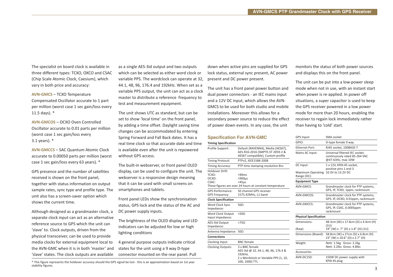The specialist on board clock is available in three different types: TCXO, OXCO and CSAC (Chip Scale Atomic Clock, Caesium), which vary in both price and accuracy:

**AVN-GMCS** – TCXO Temperature Compensated Oscillator accurate to 1 part per million (worst case 1 sec gain/loss every 11.5 days). \*

**AVN-GMCOS** – OCXO Oven Controlled Oscillator accurate to 0.01 parts per million (worst case 1 sec gain/loss every 3.1 years). \*

**AVN-GMCCS** – SAC Quantum Atomic Clock accurate to 0.00050 parts per million (worst case 1 sec gain/loss every 63 years). \*

GPS presence and the number of satellites received is shown on the front panel, together with status information on output sample rates, sync type and profile type. The unit also has a screen-saver option which shows the current time.

Although designed as a grandmaster clock, a separate clock input can act as an alternative reference source to GPS which the unit can 'slave' to. Clock outputs, driven from the physical transceiver, can be used to provide media clocks for external equipment local to the AVN-GMC when it is in both 'master' and 'slave' states. The clock outputs are available as a single AES-3id output and two outputs which can be selected as either word clock or variable PPS. The wordclock can operate at 32, 44.1, 48, 96, 176.4 and 192kHz. When set as a variable PPS output, the unit can act as a clock master to distribute a reference frequency to test and measurement equipment.

The unit shows UTC as standard, but can be set to show 'local time' on the front panel, by adding a time offset. Daylight saving time changes can be accommodated by entering Spring Forward and Fall Back dates. It has a real time clock so that accurate date and time is available even after the unit is repowered without GPS access.

The built-in webserver, or front panel OLED display, can be used to configure the unit. The webserver is a responsive design meaning that it can be used with small screens on smartphones and tablets.

Front panel LEDs show the synchronisation status, GPS lock and the status of the AC and DC power supply inputs.

The brightness of the OLED display and LED indicators can be adjusted for low or high lighting conditions

4 general purpose outputs indicate critical states for the unit using a 9 way D-type connector mounted on the rear panel. Pull

\* This figure represents the holdover accuracy should the GPS signal be lost - this is an approximation based on 1st year stability figures.

down when active pins are supplied for GPS lock status, external sync present, AC power present and DC power present.

The unit has a front panel power button and dual power connectors - an IEC mains input and a 12V DC input, which allows the AVN-GMCS to be used for both studio and mobile installations. Moreover this allows for a secondary power source to reduce the effect of power down events. In any case, the unit

#### **Specification For AVN-GMC**

| <b>Timing Specification</b>                      |                                                                                                                             |
|--------------------------------------------------|-----------------------------------------------------------------------------------------------------------------------------|
| Profile Support:                                 | Default (RAVENNA), Media (AES67),<br>AES-R16-2016 (SMPTE-ST 2059-2 &<br>AES67 compatible), Custom profile                   |
| <b>Timing Protocol:</b>                          | PTPv2, IEEE1588-2008                                                                                                        |
| Timing Accuracy:                                 | PTP time stamping resolution 8ns                                                                                            |
| Holdover Drift:<br>TCXO:<br>OCXO:<br>CSAC:       | < 90ms<br>$<$ 900 $\mu$ s<br>$<$ 45 $us$<br>These figures are over 24 hours at constant temperature                         |
| <b>GPS</b> Performance:<br><b>GPS Frequency:</b> | 50 channel GPS receiver<br>1575.42MHz, L1 band                                                                              |
| <b>Clock Specification</b>                       |                                                                                                                             |
| Word Clock Sync<br>Impedance:                    | 500                                                                                                                         |
| Word Clock Output<br>Input Impedance:            | < 500                                                                                                                       |
| AES-3id Output<br>Impedance:                     | < 750                                                                                                                       |
| Antenna Impedance: 50Ω                           |                                                                                                                             |
| <b>Connections</b>                               |                                                                                                                             |
| Clocking Input:                                  | <b>BNC</b> female                                                                                                           |
| <b>Clocking Outputs:</b>                         | 3 x BNC female<br>AES-3id @ 32, 44.1, 48, 96, 176.4 &<br>192kHz.<br>2 x Wordclock or Variable PPS (1, 10,<br>100, 1000) TTL |

monitors the status of both power sources and displays this on the front panel.

The unit can be put into a low-power sleep mode when not in use, with an instant start when power is re-applied. In power off situations, a super capacitor is used to keep the GPS receiver powered in a low power mode for more than 20 hours, enabling the receiver to regain lock immediately rather than having to 'cold' start.

| <b>GPS Input:</b>                | SMA socket                                                                           |  |
|----------------------------------|--------------------------------------------------------------------------------------|--|
| GPIO:                            | D-type female 9 way                                                                  |  |
| <b>Ethernet Port:</b>            | RJ45 socket. 100BASE-T                                                               |  |
| Mains AC Input:                  | Universal filtered IEC socket,<br>continuously rated 85-264 VAC<br>@47-63Hz, max 10W |  |
| DC Input:                        | 1 x 12V. KPJX-45 socket.<br>positive pins 1 and 3                                    |  |
| Maximum Operating<br>Range (DC): | 10.3V to 13.2V DC                                                                    |  |
| <b>Equipment Type</b>            |                                                                                      |  |
| AVN-GMCS:                        | Grandmaster clock for PTP systems,<br>GPS, IP, TCXO, 1ppm, rackmount                 |  |
| AVN-GMCOS:                       | Grandmaster clock for PTP systems,<br>GPS, IP, OCXO, 0.01ppm, rackmount              |  |
| AVN-GMCCS:                       | Grandmaster clock for PTP systems.<br>GPS, IP, CSAC, 0.0005ppm<br>rackmount          |  |
| <b>Physical Specification</b>    |                                                                                      |  |
| Dimensions:                      | 48.3cm (W) x 17.8cm (D) x 4.4cm (H)<br>(1U)                                          |  |
| (Raw)                            | 19" (W) x 7" (D) x 1.8" (H) (1U)                                                     |  |
| Dimensions (Boxed):              | 58.8cm (W) x 27cm (D) x 6.8cm (H)<br>23" (W) x 10.6" (D) x 2.7" (H)                  |  |
| Weight:                          | Nett: 1.5kg Gross: 2.2kg<br>Nett: 3.2lbs Gross: 4.8lbs                               |  |
| Accessories                      |                                                                                      |  |
| AVN-DC150:                       | 150W DC power supply with<br>KPJX-4S plug                                            |  |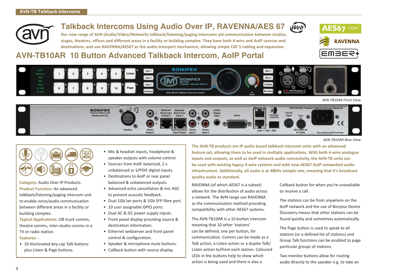# **Talkback Intercoms Using Audio Over IP, RAVENNA/AES 67**

**Our new range of AVN (Audio/Video/Network) talkback/listening/paging intercoms aid communication between studios, stages, theatres, offices and different areas in a facility or building complex. They have both 4-wire and AoIP sources and destinations, and use RAVENNA/AES67 as the audio transport mechanism, allowing simple CAT 5 cabling and expansion.**





*AVN-TB10AR Front View.*

67 now

**EWBES** 

**RAVENNA** 



*AVN-TB10AR Rear View.*



**Category:** Audio Over IP Products. **Product Function:** An advanced talkback/listening/paging intercom unit to enable voice/audio communication between different areas in a facility or building complex.

**Typical Applications:** OB truck comms, theatre comms, inter-studio comms in a TV or radio station. **Features:** -

• 10 illuminated key-cap Talk buttons plus Listen & Page buttons.

- Mic & headset inputs, headphone & speaker outputs with volume control.
- Sources from AoIP, balanced, 2 x unbalanced or S/PDIF digital inputs.
- Destinations to AoIP or rear panel balanced & unbalanced outputs.
- Advanced echo cancellation & mic AGC to prevent acoustic feedback.
- Dual 1Gb lan ports & 1Gb SFP fibre port.
- 10 user assignable GPIO ports.
- Dual AC & DC power supply inputs.
- Front panel display providing source & destination information.
- Ethernet webserver and front panel control & configuration.
- Speaker & microphone mute buttons.
- Callback button with source display.

**The AVN-TB products are IP audio based talkback intercom units with an advanced feature set, allowing them to be used in multiple applications. With both 4-wire analogue inputs and outputs, as well as AoIP network audio connectivity, the AVN-TB units can be used with existing legacy 4-wire systems and with new AES67 AoIP networked audio infrastructure. Additionally, all audio is at 48kHz sample rate, meaning that it's broadcast quality audio as standard.**

(Web)

RAVENNA (of which AES67 is a subset) allows for the distribution of audio across a network. The AVN range use RAVENNA as the communication method providing compatibility with other AES67 systems.

The AVN-TB10AR is a 10 button intercom meaning that 10 other 'stations' can be defined, one per button, for communication. Comms can be made as a Talk action, a Listen action or a duplex Talk/ Listen action to/from each station. Coloured LEDs in the buttons help to show which action is being used and there is also a

Callback button for when you're unavailable to receive a call.

The stations can be from anywhere on the AoIP network and the use of Bonjour Device Discovery means that other stations can be found quickly and sometimes automatically.

The Page button is used to speak to all stations (or a defined list of stations) and Group Talk functions can be enabled to page particular groups of stations.

Two monitor buttons allow for routing audio directly to the speaker e.g. to take an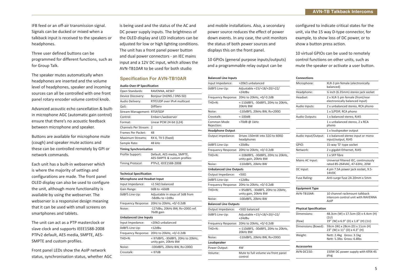IFB feed or an off-air transmission signal. Signals can be ducked or mixed when a talkback input is received to the speakers or headphones.

Three user defined buttons can be programmed for different functions, such as for Group Talk.

The speaker mutes automatically when headphones are inserted and the volume level of headphones, speaker and incoming sources can all be controlled with one front panel rotary encoder volume control knob.

Advanced acoustic echo cancellation & builtin microphone AGC (automatic gain control) ensure that there's no acoustic feedback between microphone and speaker.

Buttons are available for microphone mute (cough) and speaker mute actions and these can be controlled remotely by GPI or network commands.

Each unit has a built-in webserver which is where the majority of settings and configurations are made. The front panel OLED display can also be used to configure the unit, although more functionality is available by using the webserver. The webserver is a responsive design meaning that it can be used with small screens on smartphones and tablets.

The unit can act as a PTP masterclock or slave clock and supports IEEE1588-2008 PTPv2 default, AES media, SMPTE, AES-SMPTE and custom profiles.

Front panel LEDs show the AoIP network status, synchronisation status, whether AGC is being used and the status of the AC and DC power supply inputs. The brightness of the OLED display and LED indicators can be adjusted for low or high lighting conditions. The unit has a front panel power button and dual power connectors - an IEC mains input and a 12V DC input, which allows the AVN-TB10AR to be used for both studio

#### **Specification For AVN-TB10AR**

| Audio-Over-IP Specification    |                                                           |
|--------------------------------|-----------------------------------------------------------|
| Open Standards:                | RAVENNA, AES67                                            |
| Device Discovery:              | Bonjour (mDNS / DNS-SD)                                   |
| Audio Delivery:                | RTP/UDP over IPv4 multicast                               |
| OoS:                           | DiffServ                                                  |
| Stream Management: RTSP/SDP    |                                                           |
| Control:                       | Ember+/webserver                                          |
| Format:                        | Linear PCM 24-bit (L24)                                   |
| Channels Per Stream: 2         |                                                           |
| Frames Per Packet:             | 48                                                        |
| <b>Maximum Streams:</b>        | RX 6, TX 5 (fixed)                                        |
| Sample Rate:                   | 48 kHz                                                    |
| <b>Timing Synchronisation</b>  |                                                           |
| Profile Support:               | Default, AES media, SMPTE,<br>AES-SMPTE & custom profiles |
| Timing Protocol:               | PTPv2, IEEE1588-2008                                      |
|                                |                                                           |
| <b>Technical Specification</b> |                                                           |
| Microphone and Headset Input   |                                                           |
| Input Impedance:               | >2.5kO balanced                                           |
| Gain Range:                    | OdB to +60dB                                              |
| OdBFS Line-Up:                 | Adjustable in steps of 3dB from<br>-58dBu to +2dBu        |
| Frequency Response:            | 20Hz to 20kHz, +0/-0.2dB                                  |
| Noise:                         | -127dBu, 20kHz BW, Rs=200Ω ref.<br>76dB gain              |
| <b>Unbalanced Line Inputs</b>  |                                                           |
| Input Impedance:               | >20kΩ unbalanced                                          |
| OdBFS Line-Up:                 | $+12dBu$                                                  |
| Frequency Response:            | 20Hz to 20kHz, +0/-0.2dB                                  |
| THD+N:                         | <-97dBFS, -30dBFS, 20Hz to 20kHz,<br>unity gain, 20kHz BW |
| Noise:                         | $-100$ dRFS $20$ kHz RW Rs $=2000$                        |

Crosstalk: <-97dB

and mobile installations. Also, a secondary power source reduces the effect of power down events. In any case, the unit monitors the status of both power sources and displays this on the front panel.

10 GPIOs (general purpose inputs/outputs) and a programmable relay output can be

#### **Balanced Line Inputs**

| <b>Dalanced Line inputs</b>    |                                                            |
|--------------------------------|------------------------------------------------------------|
| Input Impedance:               | $>$ 20k $\Omega$ unbalanced                                |
| OdBFS Line-Up:                 | Adjustable +15/+18/+20/+22/<br>$+24dBu$                    |
| Frequency Response:            | 20Hz to 20kHz, +0/-0.2dB                                   |
| THD+N:                         | <-110dBFS, -30dBFS, 20Hz to 20kHz,<br>20kHz BW             |
| Noise:                         | -110dBFS, 20kHz BW, Rs=200 $\Omega$                        |
| Crosstalk:                     | $< -100dB$                                                 |
| Common Mode<br>Rejection:      | >70dB@1kHz                                                 |
| <b>Headphone Output</b>        |                                                            |
| Output Impedance:              | Drives 150mW into 320 to 6000<br>headphones                |
| OdBFS Line-Up:                 | $+20dBu$                                                   |
| Frequency Response:            | 20Hz to 20kHz, +0/-0.2dB                                   |
| THD+N:                         | <-108dBFS, -30dBFS, 20Hz to 20kHz,<br>unity gain, 20kHz BW |
| Noise:                         | -110dBFS, 20kHz BW                                         |
| <b>Unbalanced Line Outputs</b> |                                                            |
| Output Impedance:              | <50Ω                                                       |
| OdBFS Line-Up:                 | $+12dBu$                                                   |
| Frequency Response:            | 20Hz to 20kHz, +0/-0.2dB                                   |
| THD+N:                         | <-95dBFS, -30dBFS, 20Hz to 20kHz,<br>unity gain, 20kHz BW  |
| Noise:                         | -100dBFS, 20kHz BW                                         |
| <b>Balanced Line Outputs</b>   |                                                            |
| Output Impedance:              | <50Ω balanced                                              |
| OdBFS Line-Up:                 | Adjustable +15/+18/+20/+22/<br>$+24dBu$                    |
| Frequency Response:            | 20Hz to 20kHz, +0/-0.2dB                                   |
| THD+N:                         | <-110dBFS, -30dBFS, 20Hz to 20kHz,<br>20kHz BW             |
| Noise:                         | -110dBFS, 20kHz BW, Rs=200 $\Omega$                        |
| Loudspeaker                    |                                                            |
| Power Output:                  | 4W                                                         |
| Volume:                        | Mute to full volume via front panel<br>control             |

configured to indicate critical states for the unit, via the 15 way D-type connector, for example, to show loss of DC power, or to show a button press action.

10 virtual GPIOs can be used to remotely control functions on other units, such as mute the speaker or activate a user button.

#### **Connections**

| טווווכטנוטוו:                 |                                                                             |
|-------------------------------|-----------------------------------------------------------------------------|
| Microphone:                   | XLR-3 pin female (electronically<br>balanced)                               |
| Headphone:                    | 1/4 inch (6.35mm) stereo jack socket                                        |
| Headset:                      | 2 x XLR-5 pin female (front/rear<br>electronically balanced input)          |
| Audio Inputs:                 | 2 x unbalanced stereo, RCA phono                                            |
|                               | 1 x S/PDIF, RCA phono                                                       |
| Audio Outputs:                | 1 x balanced stereo, RJ45                                                   |
|                               | 1 x unbalanced stereo, 2 x RCA<br>phono                                     |
|                               | 1 x loudspeaker output                                                      |
| Audio Input/Output:           | 1 x balanced stereo input or mono<br>input/output, RJ45                     |
| GPIO:                         | 15-way 'D'-type socket                                                      |
| Network:                      | 2 x gigabit Ethernet, RJ45                                                  |
|                               | 1 x SFP fibre                                                               |
| Mains AC Input:               | Universal filtered IEC, continuously<br>rated 85-264VAC, 47-63Hz, 20W       |
| DC Input:                     | 4 pin 7.5A power jack socket, 9.5-<br>14VDC                                 |
| Fuse Rating:                  | Anti-surge fuse 2A 20mm x 5mm                                               |
| <b>Equipment Type</b>         |                                                                             |
| AVN-TB10AR:                   | 10 channel rackmount talkback<br>intercom control unit with RAVENNA<br>AniP |
| <b>Physical Specification</b> |                                                                             |
| Dimensions:                   | 48.3cm (W) x 17.5cm (D) x 4.4cm (H)<br>(1U)                                 |
| (Raw)                         | 19" (W) x 6.9" (D) x 1.8" (H) (1U)                                          |
| Dimensions (Boxed):           | 59cm (W) x 28cm (D) x 11cm (H)<br>23" (W) x 11" (D) x 4.3" (H)              |
| Weight:                       | Nett: 2.4kg Gross: 3.1kg<br>Nett: 5.3lbs Gross: 6.8lbs                      |
| <b>Accessories</b>            |                                                                             |
| AVN-DC150:                    | 150W DC power supply with KPJX-4S<br>plug                                   |
|                               |                                                                             |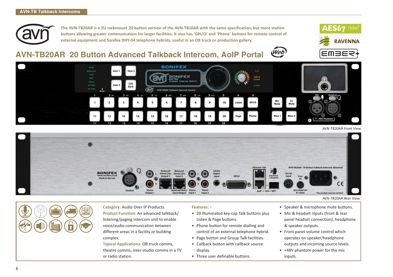

**The AVN-TB20AR is a 2U rackmount 20 button version of the AVN-TB10AR with the same specification, but more station buttons allowing greater communication for larger facilities. It also has 'GPI/O' and 'Phone' buttons for remote control of external equipment and Sonifex DHY-04 telephone hybrids, useful in an OB truck or production gallery.**

#### Web **AVN-TB20AR 20 Button Advanced Talkback Intercom, AoIP Portal**





*AVN-TB20AR Front View.*



**Category:** Audio Over IP Products. **Product Function:** An advanced talkback/ listening/paging intercom unit to enable voice/audio communication between different areas in a facility or building complex.

**Typical Applications:** OB truck comms, theatre comms, inter-studio comms in a TV or radio station.

#### **Features:** -

- 20 illuminated key-cap Talk buttons plus Listen & Page buttons.
- Phone button for remote dialling and control of an external telephone hybrid.
- Page button and Group Talk facilities.
- Callback button with callback source display.
- Three user definable buttons.
- Speaker & microphone mute buttons.
- Mic & headset inputs (front & rear panel headset connection), headphone & speaker outputs.
- Front panel volume control which operates on speaker/headphone outputs and incoming source levels.
- +48V phantom power for the mic inputs.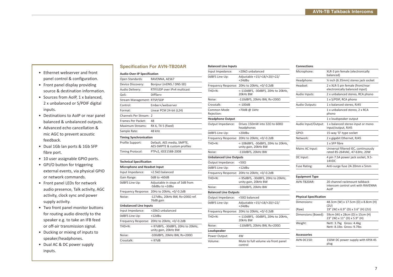#### **Specification For AVN-TB20AR**

#### • Ethernet webserver and front panel control & configuration.

- Front panel display providing source & destination information.
- Sources from AoIP, 1 x balanced, 2 x unbalanced or S/PDIF digital inputs.
- Destinations to AoIP or rear panel balanced & unbalanced outputs.
- Advanced echo cancellation & mic AGC to prevent acoustic feedback.
- Dual 1Gb lan ports & 1Gb SFP fibre port.
- 10 user assignable GPIO ports.
- GPI/O button for triggering external events, via physical GPIO or network commands.
- Front panel LEDs for network audio presence, Talk activity, AGC activity, clock sync and power supply activity.
- Two front panel monitor buttons for routing audio directly to the speaker e.g. to take an IFB feed or off-air transmission signal.
- Ducking or mixing of inputs to speaker/headphones.
- Dual AC & DC power supply inputs.

| <b>Audio-Over-IP Specification</b>  |                                                           |
|-------------------------------------|-----------------------------------------------------------|
| Open Standards:                     | RAVENNA, AES67                                            |
| Device Discovery:                   | Bonjour (mDNS / DNS-SD)                                   |
| Audio Delivery:                     | RTP/UDP over IPv4 multicast                               |
| OoS:                                | DiffServ                                                  |
| Stream Management: RTSP/SDP         |                                                           |
| Control:                            | Ember+/webserver                                          |
| Format:                             | Linear PCM 24-bit (L24)                                   |
| Channels Per Stream: 2              |                                                           |
| Frames Per Packet:                  | 48                                                        |
| Maximum Streams:                    | RX 6, TX 5 (fixed)                                        |
| Sample Rate:                        | 48 kHz                                                    |
| <b>Timing Synchronisation</b>       |                                                           |
| Profile Support:                    | Default, AES media, SMPTE,<br>AES-SMPTE & custom profiles |
| <b>Timing Protocol:</b>             | PTPv2, IEEE1588-2008                                      |
|                                     |                                                           |
| <b>Technical Specification</b>      |                                                           |
| <b>Microphone and Headset Input</b> |                                                           |
| Input Impedance:                    | >2.5kO balanced                                           |
| Gain Range:                         | $0dB$ to $+60dB$                                          |
| OdBFS Line-Up:                      | Adjustable in steps of 3dB from<br>-58dBu to +2dBu        |
| Frequency Response:                 | 20Hz to 20kHz, +0/-0.2dB                                  |
| Noise:                              | -127dBu, 20kHz BW, Rs=200Ω ref.<br>76dB gain              |
| <b>Unbalanced Line Inputs</b>       |                                                           |
| Input Impedance:                    | >20kO unbalanced                                          |
| OdBFS Line-Up:                      | $+12dBu$                                                  |

Frequency Response: 20Hz to 20kHz, +0/-0.2dB THD+N: <-97dBFS, -30dBFS, 20Hz to 20kHz, unity gain, 20kHz BW  $Noise:$  -100dBFS, 20kHz BW, Rs=200Ω

Crosstalk: <-97dB

| <b>Balanced Line Inputs</b>    |                                                            |
|--------------------------------|------------------------------------------------------------|
| Input Impedance:               | >20kΩ unbalanced                                           |
| OdBFS Line-Up:                 | Adjustable +15/+18/+20/+22/<br>$+24dBu$                    |
| Frequency Response:            | 20Hz to 20kHz, +0/-0.2dB                                   |
| THD+N:                         | <-110dBFS, -30dBFS, 20Hz to 20kHz,<br>20kHz BW             |
| Noise:                         | -110dBFS, 20kHz BW, Rs=200 $\Omega$                        |
| Crosstalk:                     | $< -100dB$                                                 |
| Common Mode<br>Rejection:      | >70dB @ 1kHz                                               |
| <b>Headphone Output</b>        |                                                            |
| Output Impedance:              | Drives 150mW into 320 to 6000<br>headphones                |
| OdBFS Line-Up:                 | $+20dBu$                                                   |
| Frequency Response:            | 20Hz to 20kHz, +0/-0.2dB                                   |
| THD+N:                         | <-108dBFS, -30dBFS, 20Hz to 20kHz,<br>unity gain, 20kHz BW |
| Noise:                         | -110dBFS, 20kHz BW                                         |
| <b>Unbalanced Line Outputs</b> |                                                            |
| Output Impedance:              | $<$ 500                                                    |
| OdBFS Line-Up:                 | $+12dBu$                                                   |
| Frequency Response:            | 20Hz to 20kHz, +0/-0.2dB                                   |
| THD+N:                         | <-95dBFS, -30dBFS, 20Hz to 20kHz,<br>unity gain, 20kHz BW  |
| Noise:                         | -100dBFS, 20kHz BW                                         |
| <b>Balanced Line Outputs</b>   |                                                            |
| Output Impedance:              | <50Ω balanced                                              |
| OdBFS Line-Up:                 | Adjustable +15/+18/+20/+22/<br>$+24dBu$                    |
| Frequency Response:            | 20Hz to 20kHz, +0/-0.2dB                                   |
| THD+N:                         | <-110dBFS, -30dBFS, 20Hz to 20kHz,<br>20kHz BW             |
| Noise:                         | -110dBFS, 20kHz BW, Rs=200 $\Omega$                        |
| Loudspeaker                    |                                                            |
| Power Output:                  | 4W                                                         |
| Volume:                        | Mute to full volume via front panel<br>control             |

| <b>Connections</b>            |                                                                             |
|-------------------------------|-----------------------------------------------------------------------------|
| Microphone:                   | XLR-3 pin female (electronically<br>balanced)                               |
| Headphone:                    | 1/4 inch (6.35mm) stereo jack socket                                        |
| Headset:                      | 2 x XLR-5 pin female (front/rear<br>electronically balanced input)          |
| Audio Inputs:                 | 2 x unbalanced stereo, RCA phono                                            |
|                               | 1 x S/PDIF, RCA phono                                                       |
| Audio Outputs:                | 1 x balanced stereo, RJ45                                                   |
|                               | 1 x unbalanced stereo, 2 x RCA<br>phono                                     |
|                               | 1 x loudspeaker output                                                      |
| Audio Input/Output:           | 1 x balanced stereo input or mono<br>input/output, RJ45                     |
| GPIO:                         | 15-way 'D'-type socket                                                      |
| Network:                      | 2 x gigabit Ethernet, RJ45                                                  |
|                               | 1 x SFP fibre                                                               |
| Mains AC Input:               | Universal filtered IEC, continuously<br>rated 85-264VAC, 47-63Hz, 20W       |
| DC Input:                     | 4 pin 7.5A power jack socket, 9.5-<br>14VDC                                 |
| <b>Fuse Rating:</b>           | Anti-surge fuse 2A 20mm x 5mm                                               |
| <b>Equipment Type</b>         |                                                                             |
| AVN-TB20AR:                   | 20 channel rackmount talkback<br>intercom control unit with RAVENNA<br>AoIP |
| <b>Physical Specification</b> |                                                                             |
| Dimensions:                   | 48.3cm (W) x 17.5cm (D) x 8.8cm (H)<br>(2U)                                 |
| (Raw)                         | 19" (W) x 6.9" (D) x 3.6" (H) (2U)                                          |
| Dimensions (Boxed):           | 59cm (W) x 28cm (D) x 15cm (H)<br>23" (W) x 11" (D) x 5.9" (H)              |
| Weight:                       | Nett: 3.7kg Gross: 4.4kg<br>Nett: 8.1lbs Gross: 9.7lbs                      |
| Accessories                   |                                                                             |
| AVN-DC150:                    | 150W DC power supply with KPJX-4S                                           |

plug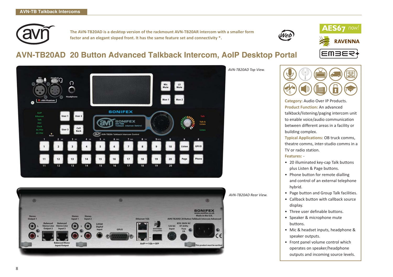

**The AVN-TB20AD is a desktop version of the rackmount AVN-TB20AR intercom with a smaller form factor and an elegant sloped front. It has the same feature set and connectivity \*.**



# **AVN-TB20AD 20 Button Advanced Talkback Intercom, AoIP Desktop Portal**





*AVN-TB20AD Top View.*



**AES67** now!

**EMBER** 

**RAVENNA** 

**Category:** Audio Over IP Products. **Product Function:** An advanced talkback/listening/paging intercom unit to enable voice/audio communication between different areas in a facility or building complex.

**Typical Applications:** OB truck comms, theatre comms, inter-studio comms in a TV or radio station.

#### **Features:** -

- 20 illuminated key-cap Talk buttons plus Listen & Page buttons.
- Phone button for remote dialling and control of an external telephone hybrid.
- Page button and Group Talk facilities.
- Callback button with callback source display.
- Three user definable buttons.
- Speaker & microphone mute buttons.
- Mic & headset inputs, headphone & speaker outputs.
- Front panel volume control which operates on speaker/headphone outputs and incoming source levels.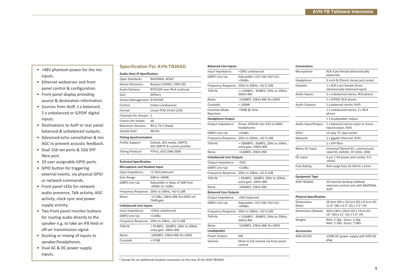#### **Specification For AVN-TB20AD**

#### • +48V phantom power for the mic inputs.

- Ethernet webserver and front panel control & configuration.
- Front panel display providing source & destination information.
- Sources from AoIP, 1 x balanced, 2 x unbalanced or S/PDIF digital inputs.
- Destinations to AoIP or rear panel balanced & unbalanced outputs.
- Advanced echo cancellation & mic AGC to prevent acoustic feedback.
- Dual 1Gb lan ports & 1Gb SFP fibre port.
- 10 user assignable GPIO ports.
- GPIO button for triggering external events, via physical GPIO or network commands.
- Front panel LEDs for network audio presence, Talk activity, AGC activity, clock sync and power supply activity.
- Two front panel monitor buttons for routing audio directly to the speaker e.g. to take an IFB feed or off-air transmission signal.
- Ducking or mixing of inputs to speaker/headphones.
- Dual AC & DC power supply inputs.

| <b>Audio-Over-IP Specification</b>  |                                                           |
|-------------------------------------|-----------------------------------------------------------|
| Open Standards:                     | RAVENNA, AES67                                            |
| Device Discovery:                   | Bonjour (mDNS / DNS-SD)                                   |
| Audio Delivery:                     | RTP/UDP over IPv4 multicast                               |
| QoS:                                | DiffServ                                                  |
| Stream Management: RTSP/SDP         |                                                           |
| Control:                            | Ember+/webserver                                          |
| Format:                             | Linear PCM 24-bit (L24)                                   |
| Channels Per Stream: 2              |                                                           |
| <b>Frames Per Packet:</b>           | 48                                                        |
| Maximum Streams:                    | RX 6, TX 5 (fixed)                                        |
| Sample Rate:                        | 48 kHz                                                    |
| <b>Timing Synchronisation</b>       |                                                           |
| Profile Support:                    | Default, AES media, SMPTE,<br>AES-SMPTE & custom profiles |
| Timing Protocol:                    | PTPv2, IEEE1588-2008                                      |
|                                     |                                                           |
| <b>Technical Specification</b>      |                                                           |
| <b>Microphone and Headset Input</b> |                                                           |
| Input Impedance:                    | >2.5kO balanced                                           |
| Gain Range:                         | $0dB$ to $+60dB$                                          |
| OdBFS Line-Up:                      | Adjustable in steps of 3dB from<br>-58dBu to +2dBu        |
| Frequency Response:                 | 20Hz to 20kHz, +0/-0.2dB                                  |
| Noise:                              | -127dBu, 20kHz BW, Rs=200Ω ref.<br>76dB gain              |
| <b>Unbalanced Line Inputs</b>       |                                                           |
| Input Impedance:                    | >20kΩ unbalanced                                          |
| OdBFS Line-Up:                      | $+12dBu$                                                  |
| Frequency Response:                 | 20Hz to 20kHz, +0/-0.2dB                                  |
| THD+N:                              | <-97dBFS, -30dBFS, 20Hz to 20kHz,<br>unity gain, 20kHz BW |
| Noise:                              | -100dBFS, 20kHz BW, Rs=200 $\Omega$                       |
| Crosstalk:                          | $< -97dB$                                                 |
|                                     |                                                           |

| <b>Balanced Line Inputs</b>    |                                                             |
|--------------------------------|-------------------------------------------------------------|
| Input Impedance:               | >20kΩ unbalanced                                            |
| OdBFS Line-Up:                 | Adjustable +15/+18/+20/+22/<br>+24dBu                       |
| Frequency Response:            | 20Hz to 20kHz, +0/-0.2dB                                    |
| THD+N:                         | <-110dBFS, -30dBFS, 20Hz to 20kHz,<br>20kHz BW              |
| Noise:                         | -110dBFS, 20kHz BW, Rs=200 $\Omega$                         |
| Crosstalk:                     | $< -100dB$                                                  |
| Common Mode<br>Rejection:      | >70dB@1kHz                                                  |
| <b>Headphone Output</b>        |                                                             |
| Output Impedance:              | Drives 150mW into 32 $\Omega$ to 600 $\Omega$<br>headphones |
| OdBFS Line-Up:                 | +20dBu                                                      |
| Frequency Response:            | 20Hz to 20kHz, +0/-0.2dB                                    |
| THD+N:                         | <-108dBFS, -30dBFS, 20Hz to 20kHz,<br>unity gain, 20kHz BW  |
| Noise:                         | -110dBFS, 20kHz BW                                          |
| <b>Unbalanced Line Outputs</b> |                                                             |
| Output Impedance:              | $<$ 500                                                     |
| OdBFS Line-Up:                 | $+12dBu$                                                    |
| Frequency Response:            | 20Hz to 20kHz, +0/-0.2dB                                    |
| THD+N:                         | <-95dBFS, -30dBFS, 20Hz to 20kHz,<br>unity gain, 20kHz BW   |
| Noise:                         | -100dBFS, 20kHz BW                                          |
| <b>Balanced Line Outputs</b>   |                                                             |
| Output Impedance:              | <50Ω balanced                                               |
| OdBFS Line-Up:                 | Adjustable +15/+18/+20/+22/<br>$+24dBu$                     |
| Frequency Response:            | 20Hz to 20kHz, +0/-0.2dB                                    |
| THD+N:                         | <-110dBFS, -30dBFS, 20Hz to 20kHz,<br>20kHz BW              |
| Noise:                         | -110dBFS, 20kHz BW, Rs=200 $\Omega$                         |
| Loudspeaker                    |                                                             |
| Power Output:                  | 4W                                                          |
| Volume:                        | Mute to full volume via front panel<br>control              |

| <b>Connections</b>            |                                                                           |
|-------------------------------|---------------------------------------------------------------------------|
| Microphone:                   | XLR-3 pin female (electronically<br>balanced)                             |
| Headphone:                    | % inch (6.35mm) stereo jack socket                                        |
| Headset:                      | 1 x XLR-5 pin female (front<br>electronically balanced input)             |
| Audio Inputs:                 | 2 x unbalanced stereo, RCA phono                                          |
|                               | 1 x S/PDIF, RCA phono                                                     |
| Audio Outputs:                | 1 x balanced stereo, RJ45                                                 |
|                               | 1 x unbalanced stereo, 2 x RCA<br>phono                                   |
|                               | 1 x loudspeaker output                                                    |
| Audio Input/Output:           | 1 x balanced stereo input or mono<br>input/output, RJ45                   |
| GPIO:                         | 15-way 'D'-type socket                                                    |
| Network:                      | 2 x gigabit Ethernet, RJ45                                                |
|                               | 1 x SFP fibre                                                             |
| Mains AC Input:               | Universal filtered IEC, continuously<br>rated 85-264VAC, 47-63Hz, 20W     |
| DC Input:                     | 4 pin 7.5A power jack socket, 9.5-<br>14VDC                               |
| <b>Fuse Rating:</b>           | Anti-surge fuse 2A 20mm x 5mm                                             |
| <b>Equipment Type</b>         |                                                                           |
| AVN-TB20AD:                   | 20 channel desktop talkback<br>intercom control unit with RAVENNA<br>AoIP |
| <b>Physical Specification</b> |                                                                           |
| Dimensions:<br>(Raw)          | 29.4cm (W) x 16.5cm (D) x 8.5cm (H)<br>11.6" (W) x 6.5" (D) x 3.3" (H)    |
| Dimensions (Boxed):           | 40cm (W) x 28cm (D) x 15cm (H)<br>16" (W) x 11" (D) x 5.9" (H)            |
| Weight:                       | Nett: 2.5kg Gross: 3.2kg<br>Nett: 5.5lbs Gross: 7.0lbs                    |
| Accessories                   |                                                                           |
| AVN-DC150:                    | 150W DC power supply with KPJX-4S<br>plug                                 |

\* Except for an additional headset connector on the rear of the AVN-TB20AR.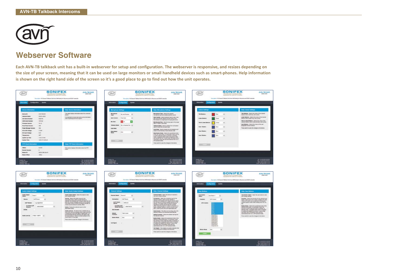

## **Webserver Software**

**Each AVN-TB talkback unit has a built-in webserver for setup and configuration. The webserver is responsive, and resizes depending on the size of your screen, meaning that it can be used on large monitors or small handheld devices such as smart-phones. Help information is shown on the right hand side of the screen so it's a good place to go to find out how the unit operates.**

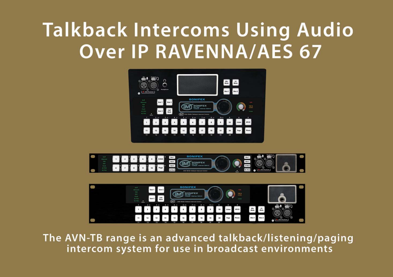# **Talkback Intercoms Using Audio Over IP RAVENNA/AES 67**







The AVN-TB range is an advanced talkback/listening/paging intercom system for use in broadcast environments